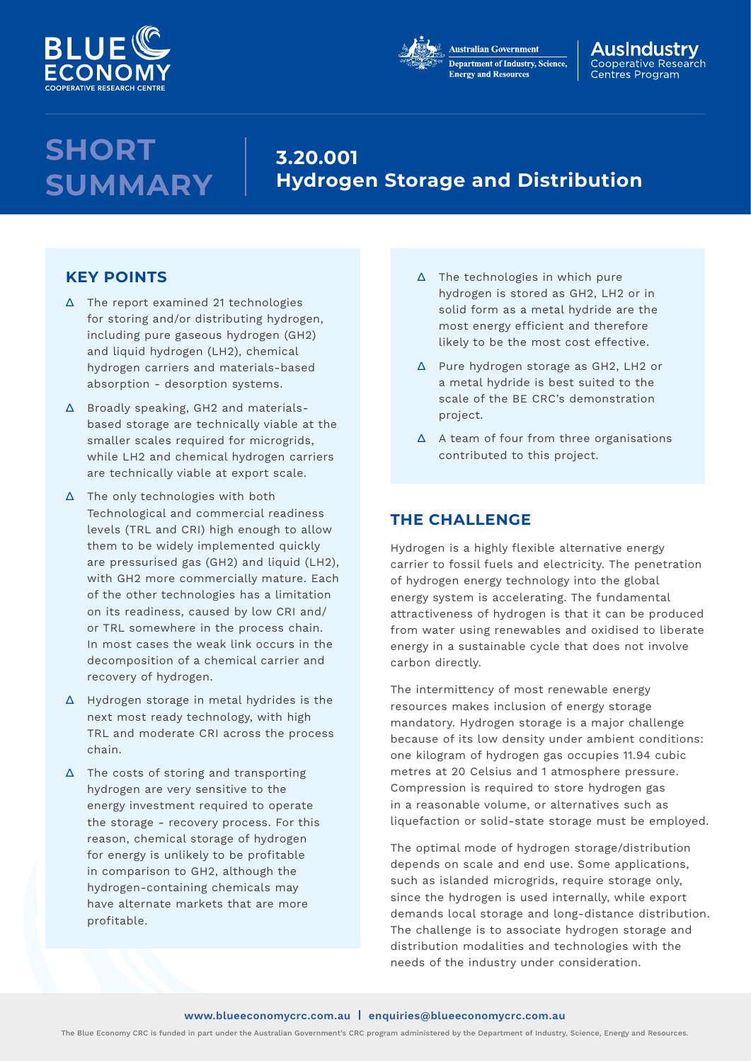



#### AusIndustrv Cooperative Research Centres Program

# **SHORT SUMMARY**

# **3.20.001 Hydrogen Storage and Distribution**

## **KEY POINTS**

- ∆ The report examined 21 technologies for storing and/or distributing hydrogen, including pure gaseous hydrogen (GH2) and liquid hydrogen (LH2), chemical hydrogen carriers and materials-based absorption - desorption systems.
- ∆ Broadly speaking, GH2 and materialsbased storage are technically viable at the smaller scales required for microgrids, while LH2 and chemical hydrogen carriers are technically viable at export scale.
- ∆ The only technologies with both Technological and commercial readiness levels (TRL and CRI) high enough to allow them to be widely implemented quickly are pressurised gas (GH2) and liquid (LH2), with GH2 more commercially mature. Each of the other technologies has a limitation on its readiness, caused by low CRI and/ or TRL somewhere in the process chain. In most cases the weak link occurs in the decomposition of a chemical carrier and recovery of hydrogen.
- ∆ Hydrogen storage in metal hydrides is the next most ready technology, with high TRL and moderate CRI across the process chain.
- ∆ The costs of storing and transporting hydrogen are very sensitive to the energy investment required to operate the storage - recovery process. For this reason, chemical storage of hydrogen for energy is unlikely to be profitable in comparison to GH2, although the hydrogen-containing chemicals may have alternate markets that are more profitable.
- ∆ The technologies in which pure hydrogen is stored as GH2, LH2 or in solid form as a metal hydride are the most energy efficient and therefore likely to be the most cost effective.
- ∆ Pure hydrogen storage as GH2, LH2 or a metal hydride is best suited to the scale of the BE CRC's demonstration project.
- ∆ A team of four from three organisations contributed to this project.

## **THE CHALLENGE**

Hydrogen is a highly flexible alternative energy carrier to fossil fuels and electricity. The penetration of hydrogen energy technology into the global energy system is accelerating. The fundamental attractiveness of hydrogen is that it can be produced from water using renewables and oxidised to liberate energy in a sustainable cycle that does not involve carbon directly.

The intermittency of most renewable energy resources makes inclusion of energy storage mandatory. Hydrogen storage is a major challenge because of its low density under ambient conditions: one kilogram of hydrogen gas occupies 11.94 cubic metres at 20 Celsius and 1 atmosphere pressure. Compression is required to store hydrogen gas in a reasonable volume, or alternatives such as liquefaction or solid-state storage must be employed.

The optimal mode of hydrogen storage/distribution depends on scale and end use. Some applications, such as islanded microgrids, require storage only. since the hydrogen is used internally, while export demands local storage and long-distance distribution. The challenge is to associate hydrogen storage and distribution modalities and technologies with the needs of the industry under consideration.

The Blue Economy CRC is funded in part under the Australian Government's CRC program administered by the Department of Industry, Science, Energy and Resources.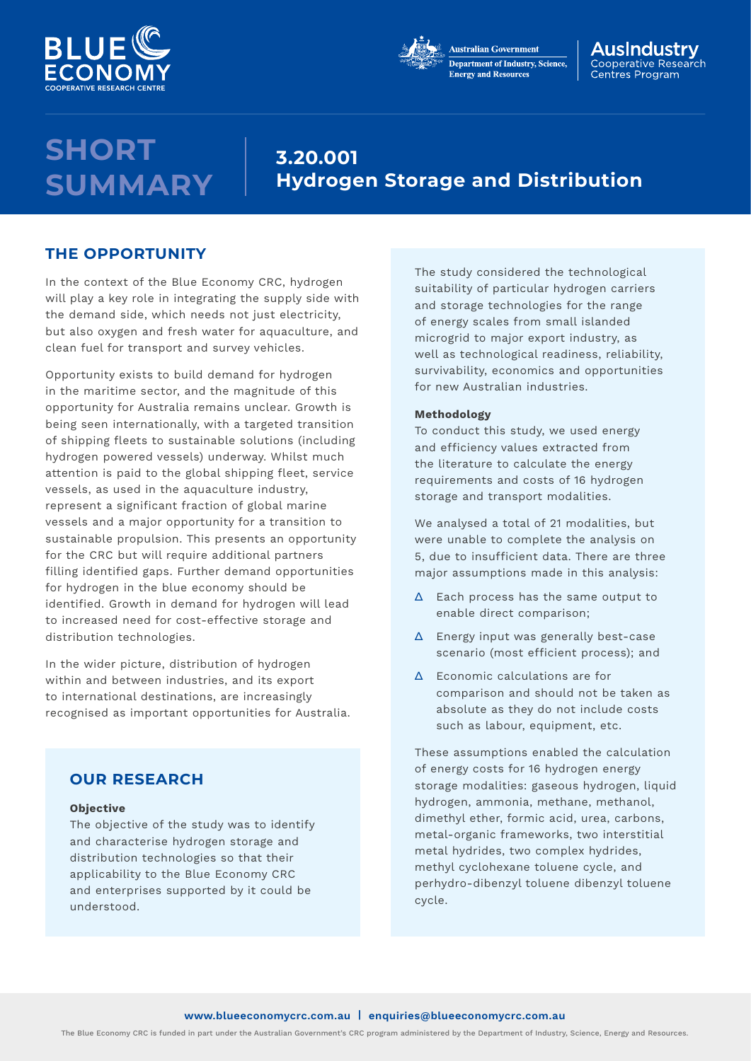



#### AusIndustrv Cooperative Research Centres Program

# **SHORT SUMMARY**

# **3.20.001 Hydrogen Storage and Distribution**

### **THE OPPORTUNITY**

In the context of the Blue Economy CRC, hydrogen will play a key role in integrating the supply side with the demand side, which needs not just electricity, but also oxygen and fresh water for aquaculture, and clean fuel for transport and survey vehicles.

Opportunity exists to build demand for hydrogen in the maritime sector, and the magnitude of this opportunity for Australia remains unclear. Growth is being seen internationally, with a targeted transition of shipping fleets to sustainable solutions (including hydrogen powered vessels) underway. Whilst much attention is paid to the global shipping fleet, service vessels, as used in the aquaculture industry, represent a significant fraction of global marine vessels and a major opportunity for a transition to sustainable propulsion. This presents an opportunity for the CRC but will require additional partners filling identified gaps. Further demand opportunities for hydrogen in the blue economy should be identified. Growth in demand for hydrogen will lead to increased need for cost-effective storage and distribution technologies.

In the wider picture, distribution of hydrogen within and between industries, and its export to international destinations, are increasingly recognised as important opportunities for Australia.

## **OUR RESEARCH**

#### **Objective**

The objective of the study was to identify and characterise hydrogen storage and distribution technologies so that their applicability to the Blue Economy CRC and enterprises supported by it could be understood.

The study considered the technological suitability of particular hydrogen carriers and storage technologies for the range of energy scales from small islanded microgrid to major export industry, as well as technological readiness, reliability, survivability, economics and opportunities for new Australian industries.

#### **Methodology**

To conduct this study, we used energy and efficiency values extracted from the literature to calculate the energy requirements and costs of 16 hydrogen storage and transport modalities.

We analysed a total of 21 modalities, but were unable to complete the analysis on 5, due to insufficient data. There are three major assumptions made in this analysis:

- ∆ Each process has the same output to enable direct comparison;
- ∆ Energy input was generally best-case scenario (most efficient process); and
- ∆ Economic calculations are for comparison and should not be taken as absolute as they do not include costs such as labour, equipment, etc.

These assumptions enabled the calculation of energy costs for 16 hydrogen energy storage modalities: gaseous hydrogen, liquid hydrogen, ammonia, methane, methanol, dimethyl ether, formic acid, urea, carbons, metal-organic frameworks, two interstitial metal hydrides, two complex hydrides, methyl cyclohexane toluene cycle, and perhydro-dibenzyl toluene dibenzyl toluene cycle.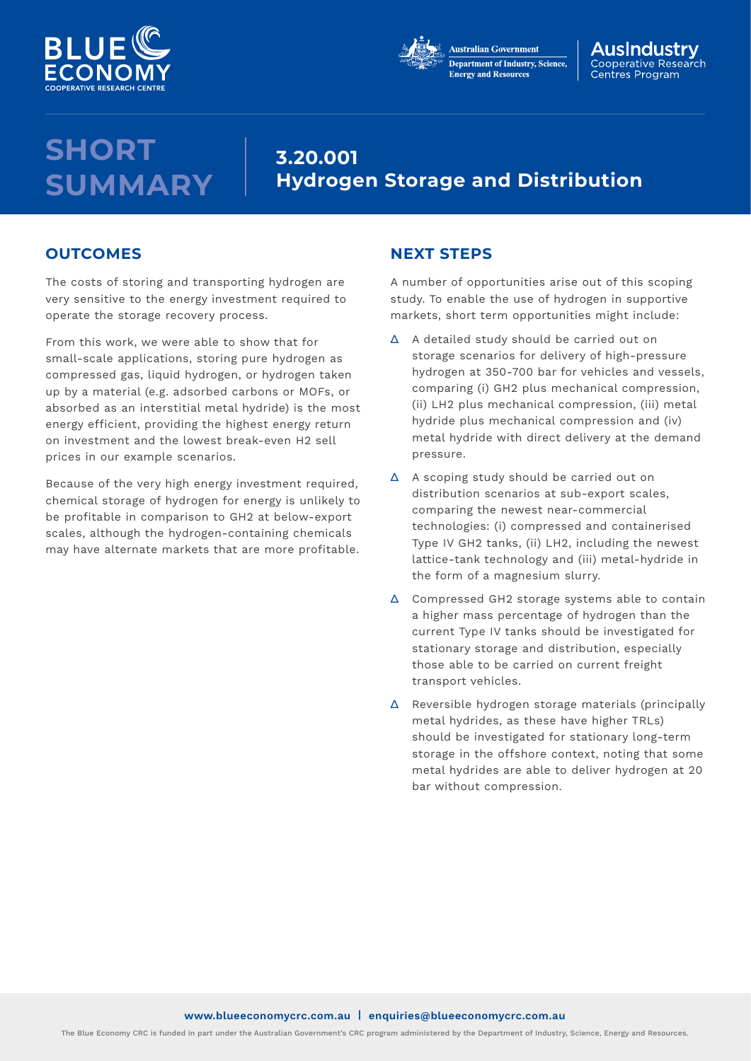



#### AusIndustrv Cooperative Research Centres Program

# **SHORT SUMMARY**

# **3.20.001 Hydrogen Storage and Distribution**

## **OUTCOMES**

The costs of storing and transporting hydrogen are very sensitive to the energy investment required to operate the storage recovery process.

From this work, we were able to show that for small-scale applications, storing pure hydrogen as compressed gas, liquid hydrogen, or hydrogen taken up by a material (e.g. adsorbed carbons or MOFs, or absorbed as an interstitial metal hydride) is the most energy efficient, providing the highest energy return on investment and the lowest break-even H2 sell prices in our example scenarios.

Because of the very high energy investment required, chemical storage of hydrogen for energy is unlikely to be profitable in comparison to GH2 at below-export scales, although the hydrogen-containing chemicals may have alternate markets that are more profitable.

## **NEXT STEPS**

A number of opportunities arise out of this scoping study. To enable the use of hydrogen in supportive markets, short term opportunities might include:

- ∆ A detailed study should be carried out on storage scenarios for delivery of high-pressure hydrogen at 350-700 bar for vehicles and vessels, comparing (i) GH2 plus mechanical compression, (ii) LH2 plus mechanical compression, (iii) metal hydride plus mechanical compression and (iv) metal hydride with direct delivery at the demand pressure.
- ∆ A scoping study should be carried out on distribution scenarios at sub-export scales, comparing the newest near-commercial technologies: (i) compressed and containerised Type IV GH2 tanks, (ii) LH2, including the newest lattice-tank technology and (iii) metal-hydride in the form of a magnesium slurry.
- ∆ Compressed GH2 storage systems able to contain a higher mass percentage of hydrogen than the current Type IV tanks should be investigated for stationary storage and distribution, especially those able to be carried on current freight transport vehicles.
- ∆ Reversible hydrogen storage materials (principally metal hydrides, as these have higher TRLs) should be investigated for stationary long-term storage in the offshore context, noting that some metal hydrides are able to deliver hydrogen at 20 bar without compression.